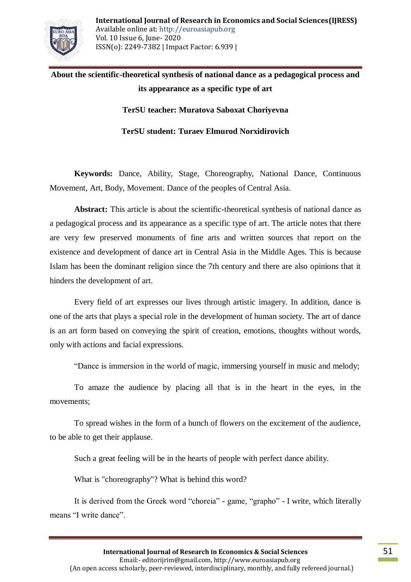

## **About the scientific-theoretical synthesis of national dance as a pedagogical process and its appearance as a specific type of art**

**TerSU teacher: Muratova Saboxat Choriyevna**

**TerSU student: Turaev Elmurod Norxidirovich**

**Keywords:** Dance, Ability, Stage, Choreography, National Dance, Continuous Movement, Art, Body, Movement. Dance of the peoples of Central Asia.

**Abstract:** This article is about the scientific-theoretical synthesis of national dance as a pedagogical process and its appearance as a specific type of art. The article notes that there are very few preserved monuments of fine arts and written sources that report on the existence and development of dance art in Central Asia in the Middle Ages. This is because Islam has been the dominant religion since the 7th century and there are also opinions that it hinders the development of art.

Every field of art expresses our lives through artistic imagery. In addition, dance is one of the arts that plays a special role in the development of human society. The art of dance is an art form based on conveying the spirit of creation, emotions, thoughts without words, only with actions and facial expressions.

"Dance is immersion in the world of magic, immersing yourself in music and melody;

To amaze the audience by placing all that is in the heart in the eyes, in the movements;

To spread wishes in the form of a bunch of flowers on the excitement of the audience, to be able to get their applause.

Such a great feeling will be in the hearts of people with perfect dance ability.

What is "choreography"? What is behind this word?

It is derived from the Greek word "choreia" - game, "grapho" - I write, which literally means "I write dance".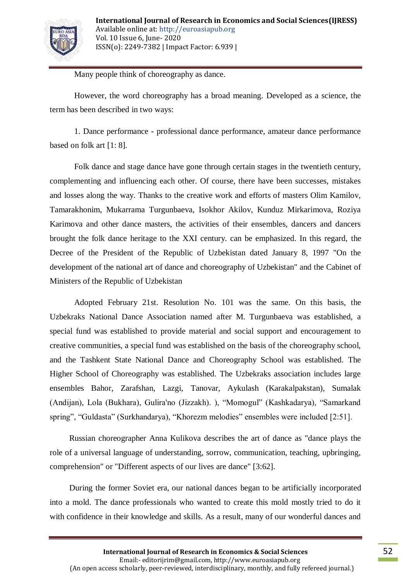

Many people think of choreography as dance.

However, the word choreography has a broad meaning. Developed as a science, the term has been described in two ways:

1. Dance performance - professional dance performance, amateur dance performance based on folk art [1: 8].

Folk dance and stage dance have gone through certain stages in the twentieth century, complementing and influencing each other. Of course, there have been successes, mistakes and losses along the way. Thanks to the creative work and efforts of masters Olim Kamilov, Tamarakhonim, Mukarrama Turgunbaeva, Isokhor Akilov, Kunduz Mirkarimova, Roziya Karimova and other dance masters, the activities of their ensembles, dancers and dancers brought the folk dance heritage to the XXI century. can be emphasized. In this regard, the Decree of the President of the Republic of Uzbekistan dated January 8, 1997 "On the development of the national art of dance and choreography of Uzbekistan" and the Cabinet of Ministers of the Republic of Uzbekistan

Adopted February 21st. Resolution No. 101 was the same. On this basis, the Uzbekraks National Dance Association named after M. Turgunbaeva was established, a special fund was established to provide material and social support and encouragement to creative communities, a special fund was established on the basis of the choreography school, and the Tashkent State National Dance and Choreography School was established. The Higher School of Choreography was established. The Uzbekraks association includes large ensembles Bahor, Zarafshan, Lazgi, Tanovar, Aykulash (Karakalpakstan), Sumalak (Andijan), Lola (Bukhara), Gulira'no (Jizzakh). ), "Momogul" (Kashkadarya), "Samarkand spring", "Guldasta" (Surkhandarya), "Khorezm melodies" ensembles were included [2:51].

Russian choreographer Anna Kulikova describes the art of dance as "dance plays the role of a universal language of understanding, sorrow, communication, teaching, upbringing, comprehension" or "Different aspects of our lives are dance" [3:62].

During the former Soviet era, our national dances began to be artificially incorporated into a mold. The dance professionals who wanted to create this mold mostly tried to do it with confidence in their knowledge and skills. As a result, many of our wonderful dances and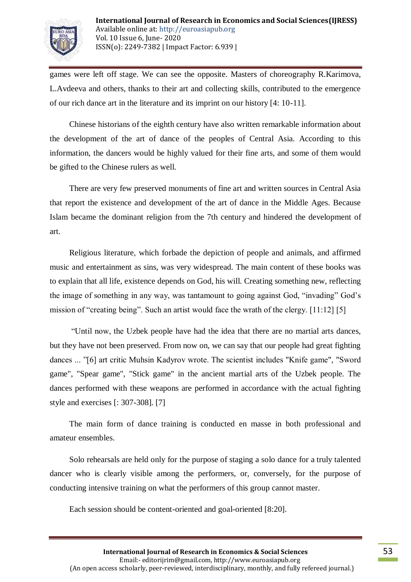

games were left off stage. We can see the opposite. Masters of choreography R.Karimova, L.Avdeeva and others, thanks to their art and collecting skills, contributed to the emergence of our rich dance art in the literature and its imprint on our history [4: 10-11].

Chinese historians of the eighth century have also written remarkable information about the development of the art of dance of the peoples of Central Asia. According to this information, the dancers would be highly valued for their fine arts, and some of them would be gifted to the Chinese rulers as well.

There are very few preserved monuments of fine art and written sources in Central Asia that report the existence and development of the art of dance in the Middle Ages. Because Islam became the dominant religion from the 7th century and hindered the development of art.

Religious literature, which forbade the depiction of people and animals, and affirmed music and entertainment as sins, was very widespread. The main content of these books was to explain that all life, existence depends on God, his will. Creating something new, reflecting the image of something in any way, was tantamount to going against God, "invading" God's mission of "creating being". Such an artist would face the wrath of the clergy. [11:12] [5]

"Until now, the Uzbek people have had the idea that there are no martial arts dances, but they have not been preserved. From now on, we can say that our people had great fighting dances ... "[6] art critic Muhsin Kadyrov wrote. The scientist includes "Knife game", "Sword game", "Spear game", "Stick game" in the ancient martial arts of the Uzbek people. The dances performed with these weapons are performed in accordance with the actual fighting style and exercises [: 307-308]. [7]

The main form of dance training is conducted en masse in both professional and amateur ensembles.

Solo rehearsals are held only for the purpose of staging a solo dance for a truly talented dancer who is clearly visible among the performers, or, conversely, for the purpose of conducting intensive training on what the performers of this group cannot master.

Each session should be content-oriented and goal-oriented [8:20].